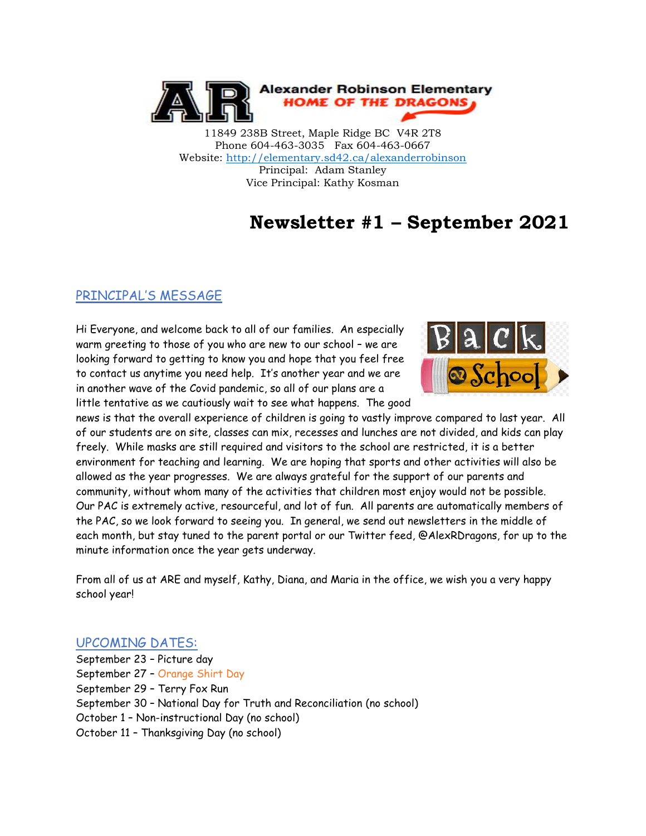

11849 238B Street, Maple Ridge BC V4R 2T8 Phone 604-463-3035 Fax 604-463-0667 Website:<http://elementary.sd42.ca/alexanderrobinson> Principal: Adam Stanley Vice Principal: Kathy Kosman

## **Newsletter #1 – September 2021**

#### PRINCIPAL'S MESSAGE

Hi Everyone, and welcome back to all of our families. An especially warm greeting to those of you who are new to our school – we are looking forward to getting to know you and hope that you feel free to contact us anytime you need help. It's another year and we are in another wave of the Covid pandemic, so all of our plans are a little tentative as we cautiously wait to see what happens. The good



news is that the overall experience of children is going to vastly improve compared to last year. All of our students are on site, classes can mix, recesses and lunches are not divided, and kids can play freely. While masks are still required and visitors to the school are restricted, it is a better environment for teaching and learning. We are hoping that sports and other activities will also be allowed as the year progresses. We are always grateful for the support of our parents and community, without whom many of the activities that children most enjoy would not be possible. Our PAC is extremely active, resourceful, and lot of fun. All parents are automatically members of the PAC, so we look forward to seeing you. In general, we send out newsletters in the middle of each month, but stay tuned to the parent portal or our Twitter feed, @AlexRDragons, for up to the minute information once the year gets underway.

From all of us at ARE and myself, Kathy, Diana, and Maria in the office, we wish you a very happy school year!

#### UPCOMING DATES:

September 23 – Picture day September 27 – Orange Shirt Day September 29 – Terry Fox Run September 30 – National Day for Truth and Reconciliation (no school) October 1 – Non-instructional Day (no school) October 11 – Thanksgiving Day (no school)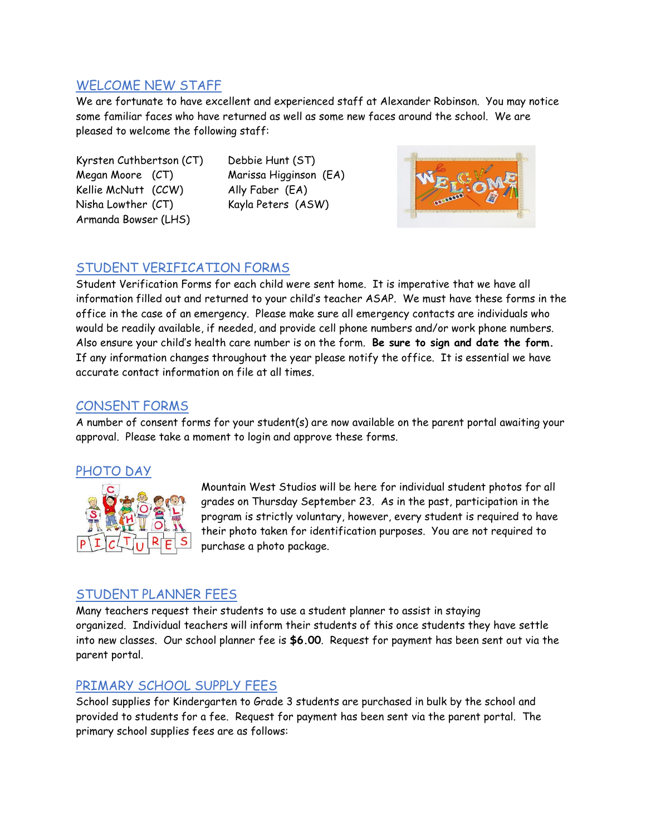### WELCOME NEW STAFF

We are fortunate to have excellent and experienced staff at Alexander Robinson. You may notice some familiar faces who have returned as well as some new faces around the school. We are pleased to welcome the following staff:

Kyrsten Cuthbertson (CT) Debbie Hunt (ST) Megan Moore (CT) Marissa Higginson (EA) Kellie McNutt (CCW) Ally Faber (EA) Nisha Lowther (CT) Kayla Peters (ASW) Armanda Bowser (LHS)



## STUDENT VERIFICATION FORMS

Student Verification Forms for each child were sent home. It is imperative that we have all information filled out and returned to your child's teacher ASAP. We must have these forms in the office in the case of an emergency. Please make sure all emergency contacts are individuals who would be readily available, if needed, and provide cell phone numbers and/or work phone numbers. Also ensure your child's health care number is on the form. **Be sure to sign and date the form.**  If any information changes throughout the year please notify the office. It is essential we have accurate contact information on file at all times.

#### CONSENT FORMS

A number of consent forms for your student(s) are now available on the parent portal awaiting your approval. Please take a moment to login and approve these forms.

#### PHOTO DAY



Mountain West Studios will be here for individual student photos for all grades on Thursday September 23. As in the past, participation in the program is strictly voluntary, however, every student is required to have their photo taken for identification purposes. You are not required to purchase a photo package.

### STUDENT PLANNER FEES

Many teachers request their students to use a student planner to assist in staying organized. Individual teachers will inform their students of this once students they have settle into new classes. Our school planner fee is **\$6.00**. Request for payment has been sent out via the parent portal.

### PRIMARY SCHOOL SUPPLY FEES

School supplies for Kindergarten to Grade 3 students are purchased in bulk by the school and provided to students for a fee. Request for payment has been sent via the parent portal. The primary school supplies fees are as follows: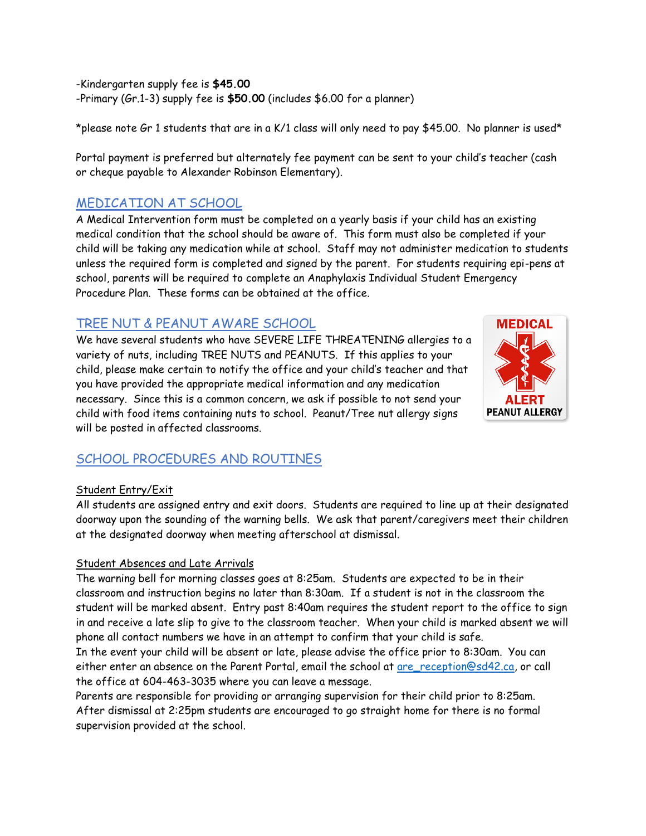-Kindergarten supply fee is **\$45.00** -Primary (Gr.1-3) supply fee is **\$50.00** (includes \$6.00 for a planner)

\*please note Gr 1 students that are in a K/1 class will only need to pay \$45.00. No planner is used\*

Portal payment is preferred but alternately fee payment can be sent to your child's teacher (cash or cheque payable to Alexander Robinson Elementary).

## MEDICATION AT SCHOOL

A Medical Intervention form must be completed on a yearly basis if your child has an existing medical condition that the school should be aware of. This form must also be completed if your child will be taking any medication while at school. Staff may not administer medication to students unless the required form is completed and signed by the parent. For students requiring epi-pens at school, parents will be required to complete an Anaphylaxis Individual Student Emergency Procedure Plan. These forms can be obtained at the office.

## TREE NUT & PEANUT AWARE SCHOOL

We have several students who have SEVERE LIFE THREATENING allergies to a variety of nuts, including TREE NUTS and PEANUTS. If this applies to your child, please make certain to notify the office and your child's teacher and that you have provided the appropriate medical information and any medication necessary. Since this is a common concern, we ask if possible to not send your child with food items containing nuts to school. Peanut/Tree nut allergy signs will be posted in affected classrooms.



### SCHOOL PROCEDURES AND ROUTINES

#### Student Entry/Exit

All students are assigned entry and exit doors. Students are required to line up at their designated doorway upon the sounding of the warning bells. We ask that parent/caregivers meet their children at the designated doorway when meeting afterschool at dismissal.

#### Student Absences and Late Arrivals

The warning bell for morning classes goes at 8:25am. Students are expected to be in their classroom and instruction begins no later than 8:30am. If a student is not in the classroom the student will be marked absent. Entry past 8:40am requires the student report to the office to sign in and receive a late slip to give to the classroom teacher. When your child is marked absent we will phone all contact numbers we have in an attempt to confirm that your child is safe.

In the event your child will be absent or late, please advise the office prior to 8:30am. You can either enter an absence on the Parent Portal, email the school at are reception@sd42.ca, or call the office at 604-463-3035 where you can leave a message.

Parents are responsible for providing or arranging supervision for their child prior to 8:25am. After dismissal at 2:25pm students are encouraged to go straight home for there is no formal supervision provided at the school.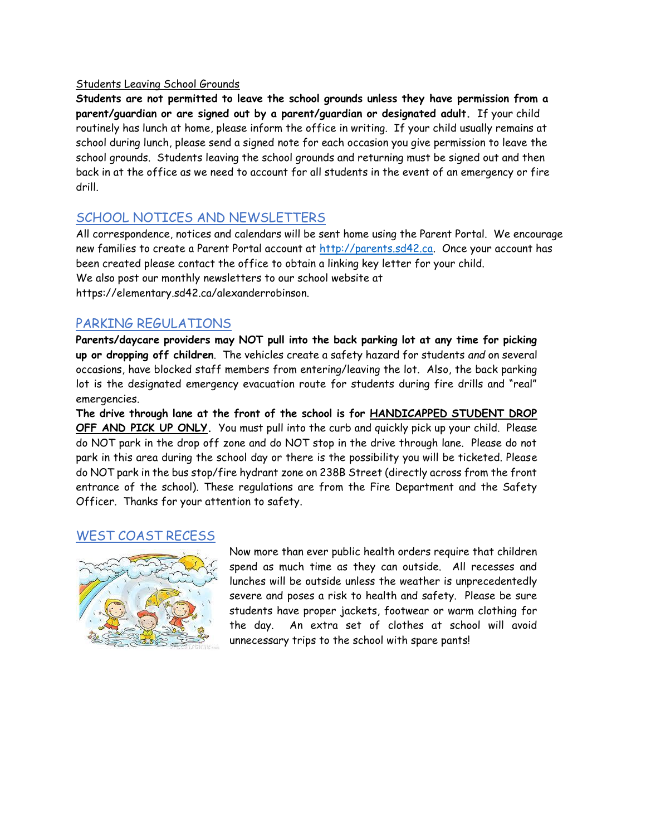#### Students Leaving School Grounds

**Students are not permitted to leave the school grounds unless they have permission from a parent/guardian or are signed out by a parent/guardian or designated adult.** If your child routinely has lunch at home, please inform the office in writing. If your child usually remains at school during lunch, please send a signed note for each occasion you give permission to leave the school grounds. Students leaving the school grounds and returning must be signed out and then back in at the office as we need to account for all students in the event of an emergency or fire drill.

### SCHOOL NOTICES AND NEWSLETTERS

All correspondence, notices and calendars will be sent home using the Parent Portal. We encourage new families to create a Parent Portal account at [http://parents.sd42.ca.](http://parents.sd42.ca/) Once your account has been created please contact the office to obtain a linking key letter for your child. We also post our monthly newsletters to our school website at https://elementary.sd42.ca/alexanderrobinson.

#### PARKING REGULATIONS

**Parents/daycare providers may NOT pull into the back parking lot at any time for picking up or dropping off children**. The vehicles create a safety hazard for students *and* on several occasions, have blocked staff members from entering/leaving the lot. Also, the back parking lot is the designated emergency evacuation route for students during fire drills and "real" emergencies.

**The drive through lane at the front of the school is for HANDICAPPED STUDENT DROP OFF AND PICK UP ONLY.** You must pull into the curb and quickly pick up your child. Please do NOT park in the drop off zone and do NOT stop in the drive through lane. Please do not park in this area during the school day or there is the possibility you will be ticketed. Please do NOT park in the bus stop/fire hydrant zone on 238B Street (directly across from the front entrance of the school). These regulations are from the Fire Department and the Safety Officer. Thanks for your attention to safety.

#### WEST COAST RECESS



Now more than ever public health orders require that children spend as much time as they can outside. All recesses and lunches will be outside unless the weather is unprecedentedly severe and poses a risk to health and safety. Please be sure students have proper jackets, footwear or warm clothing for the day. An extra set of clothes at school will avoid unnecessary trips to the school with spare pants!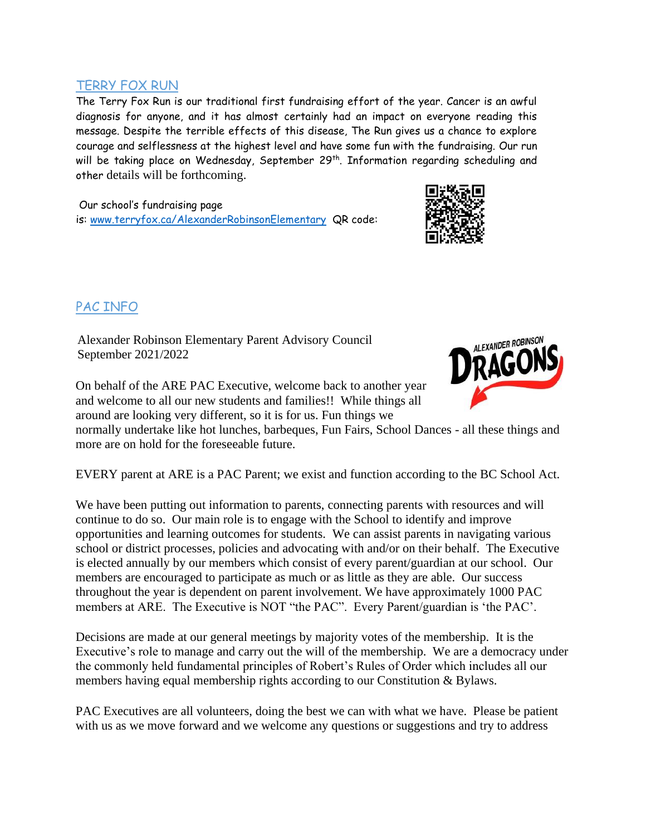#### TERRY FOX RUN

The Terry Fox Run is our traditional first fundraising effort of the year. Cancer is an awful diagnosis for anyone, and it has almost certainly had an impact on everyone reading this message. Despite the terrible effects of this disease, The Run gives us a chance to explore courage and selflessness at the highest level and have some fun with the fundraising. Our run will be taking place on Wednesday, September 29<sup>th</sup>. Information regarding scheduling and other details will be forthcoming.

Our school's fundraising page is: [www.terryfox.ca/AlexanderRobinsonElementary](http://www.terryfox.ca/AlexanderRobinsonElementary) QR code:



## PAC INFO

Alexander Robinson Elementary Parent Advisory Council September 2021/2022

On behalf of the ARE PAC Executive, welcome back to another year and welcome to all our new students and families!! While things all around are looking very different, so it is for us. Fun things we

normally undertake like hot lunches, barbeques, Fun Fairs, School Dances - all these things and more are on hold for the foreseeable future.

EVERY parent at ARE is a PAC Parent; we exist and function according to the BC School Act.

We have been putting out information to parents, connecting parents with resources and will continue to do so. Our main role is to engage with the School to identify and improve opportunities and learning outcomes for students. We can assist parents in navigating various school or district processes, policies and advocating with and/or on their behalf. The Executive is elected annually by our members which consist of every parent/guardian at our school. Our members are encouraged to participate as much or as little as they are able. Our success throughout the year is dependent on parent involvement. We have approximately 1000 PAC members at ARE. The Executive is NOT "the PAC". Every Parent/guardian is 'the PAC'.

Decisions are made at our general meetings by majority votes of the membership. It is the Executive's role to manage and carry out the will of the membership. We are a democracy under the commonly held fundamental principles of Robert's Rules of Order which includes all our members having equal membership rights according to our Constitution & Bylaws.

PAC Executives are all volunteers, doing the best we can with what we have. Please be patient with us as we move forward and we welcome any questions or suggestions and try to address

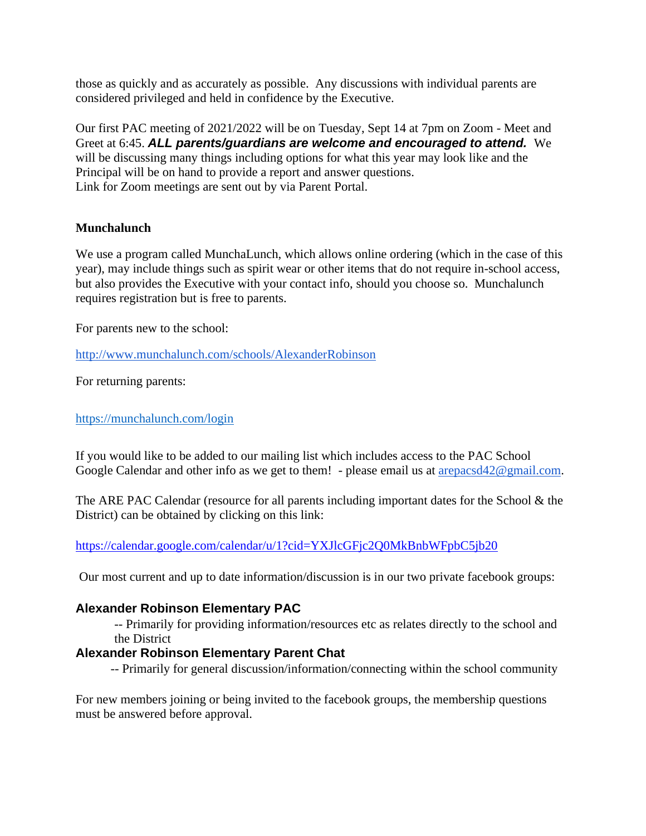those as quickly and as accurately as possible. Any discussions with individual parents are considered privileged and held in confidence by the Executive.

Our first PAC meeting of 2021/2022 will be on Tuesday, Sept 14 at 7pm on Zoom - Meet and Greet at 6:45. *ALL parents/guardians are welcome and encouraged to attend.* We will be discussing many things including options for what this year may look like and the Principal will be on hand to provide a report and answer questions. Link for Zoom meetings are sent out by via Parent Portal.

#### **Munchalunch**

We use a program called MunchaLunch, which allows online ordering (which in the case of this year), may include things such as spirit wear or other items that do not require in-school access, but also provides the Executive with your contact info, should you choose so. Munchalunch requires registration but is free to parents.

For parents new to the school:

<http://www.munchalunch.com/schools/AlexanderRobinson>

For returning parents:

<https://munchalunch.com/login>

[If you would like to be added to](https://munchalunch.com/login) our mailing list which includes access to the PAC School Google Calendar and other info as we get to them! - please email us at arepacsd42@gmail.com.

The ARE PAC Calendar (resource for all parents including important dates for the School & the District) can be obtained by clicking on this link:

<https://calendar.google.com/calendar/u/1?cid=YXJlcGFjc2Q0MkBnbWFpbC5jb20>

Our most current and up to date information/discussion is in our two private facebook groups:

#### **Alexander Robinson Elementary PAC**

-- Primarily for providing information/resources etc as relates directly to the school and the District

#### **Alexander Robinson Elementary Parent Chat**

-- Primarily for general discussion/information/connecting within the school community

For new members joining or being invited to the facebook groups, the membership questions must be answered before approval.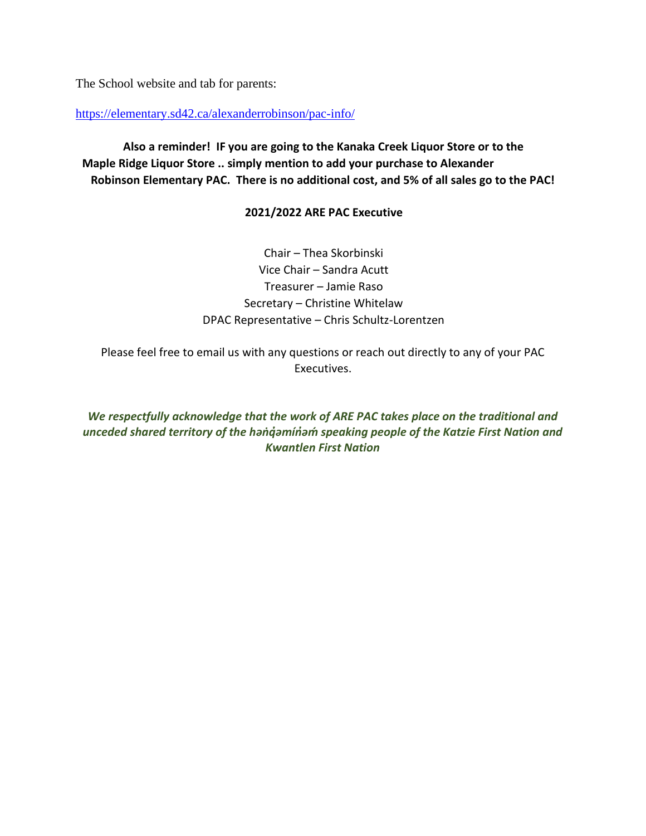The School website and tab for parents:

<https://elementary.sd42.ca/alexanderrobinson/pac-info/>

**Also a reminder! IF you are going to the Kanaka Creek Liquor Store or to the Maple Ridge Liquor Store .. simply mention to add your purchase to Alexander Robinson Elementary PAC. There is no additional cost, and 5% of all sales go to the PAC!** 

#### **2021/2022 ARE PAC Executive**

Chair – Thea Skorbinski Vice Chair – Sandra Acutt Treasurer – Jamie Raso Secretary – Christine Whitelaw DPAC Representative – Chris Schultz-Lorentzen

Please feel free to email us with any questions or reach out directly to any of your PAC Executives.

*We respectfully acknowledge that the work of ARE PAC takes place on the traditional and unceded shared territory of the həṅq̓əmín̓əḿ speaking people of the Katzie First Nation and Kwantlen First Nation*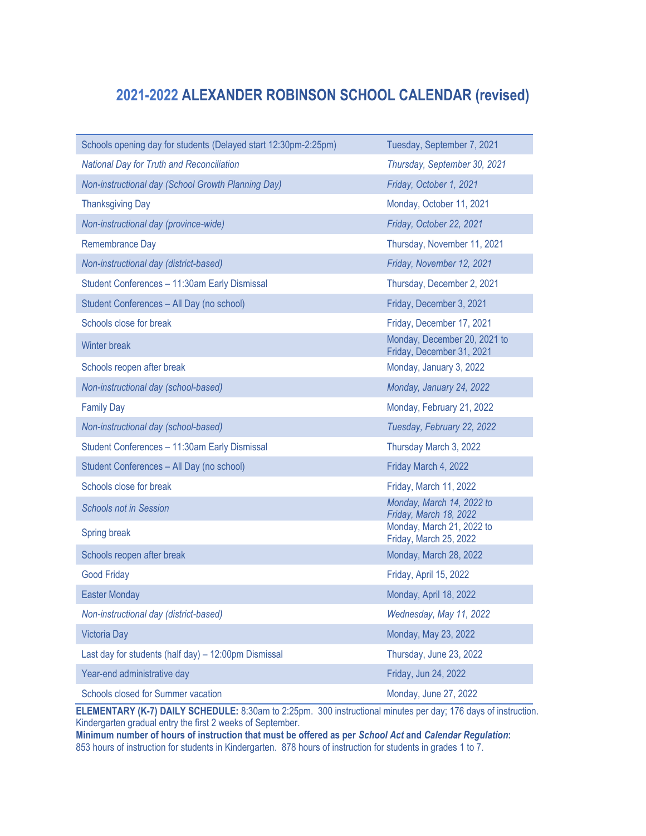## **2021-2022 ALEXANDER ROBINSON SCHOOL CALENDAR (revised)**

| Schools opening day for students (Delayed start 12:30pm-2:25pm) | Tuesday, September 7, 2021                                |
|-----------------------------------------------------------------|-----------------------------------------------------------|
| <b>National Day for Truth and Reconciliation</b>                | Thursday, September 30, 2021                              |
| Non-instructional day (School Growth Planning Day)              | Friday, October 1, 2021                                   |
| <b>Thanksgiving Day</b>                                         | Monday, October 11, 2021                                  |
| Non-instructional day (province-wide)                           | Friday, October 22, 2021                                  |
| Remembrance Day                                                 | Thursday, November 11, 2021                               |
| Non-instructional day (district-based)                          | Friday, November 12, 2021                                 |
| Student Conferences - 11:30am Early Dismissal                   | Thursday, December 2, 2021                                |
| Student Conferences - All Day (no school)                       | Friday, December 3, 2021                                  |
| Schools close for break                                         | Friday, December 17, 2021                                 |
| Winter break                                                    | Monday, December 20, 2021 to<br>Friday, December 31, 2021 |
| Schools reopen after break                                      | Monday, January 3, 2022                                   |
| Non-instructional day (school-based)                            | Monday, January 24, 2022                                  |
| <b>Family Day</b>                                               | Monday, February 21, 2022                                 |
| Non-instructional day (school-based)                            | Tuesday, February 22, 2022                                |
| Student Conferences - 11:30am Early Dismissal                   | Thursday March 3, 2022                                    |
| Student Conferences - All Day (no school)                       | Friday March 4, 2022                                      |
| Schools close for break                                         | Friday, March 11, 2022                                    |
| <b>Schools not in Session</b>                                   | Monday, March 14, 2022 to<br>Friday, March 18, 2022       |
| Spring break                                                    | Monday, March 21, 2022 to<br>Friday, March 25, 2022       |
| Schools reopen after break                                      | Monday, March 28, 2022                                    |
| <b>Good Friday</b>                                              | Friday, April 15, 2022                                    |
| <b>Easter Monday</b>                                            | Monday, April 18, 2022                                    |
| Non-instructional day (district-based)                          | Wednesday, May 11, 2022                                   |
| Victoria Day                                                    | Monday, May 23, 2022                                      |
| Last day for students (half day) - 12:00pm Dismissal            | Thursday, June 23, 2022                                   |
| Year-end administrative day                                     | Friday, Jun 24, 2022                                      |
| Schools closed for Summer vacation                              | Monday, June 27, 2022                                     |

**ELEMENTARY (K-7) DAILY SCHEDULE:** 8:30am to 2:25pm. 300 instructional minutes per day; 176 days of instruction. Kindergarten gradual entry the first 2 weeks of September.

**Minimum number of hours of instruction that must be offered as per** *School Act* **and** *Calendar Regulation***:** 853 hours of instruction for students in Kindergarten. 878 hours of instruction for students in grades 1 to 7.